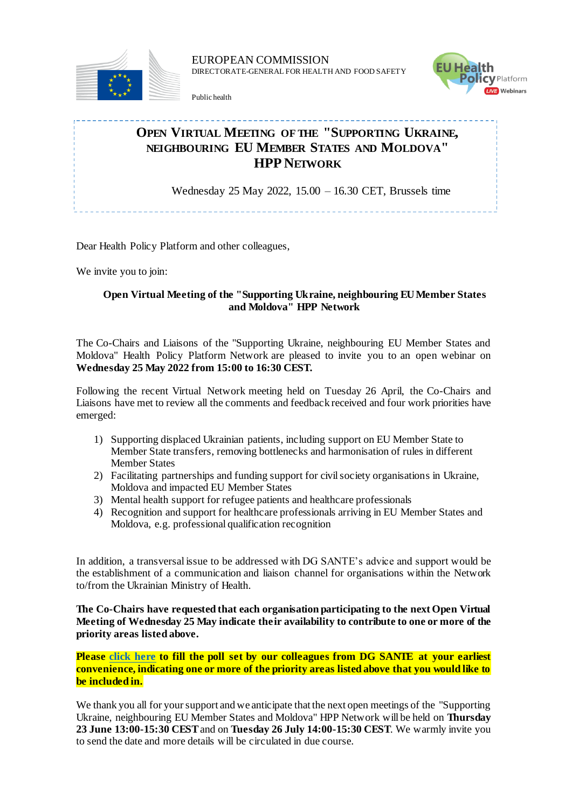

EUROPEAN COMMISSION DIRECTORATE-GENERAL FOR HEALTH AND FOOD SAFETY

Public health



## **OPEN VIRTUAL MEETING OF THE "SUPPORTING UKRAINE, NEIGHBOURING EU MEMBER STATES AND MOLDOVA" HPP NETWORK**

Wednesday 25 May 2022, 15.00 – 16.30 CET, Brussels time

Dear Health Policy Platform and other colleagues,

We invite you to join:

## **Open Virtual Meeting of the "Supporting Ukraine, neighbouring EU Member States and Moldova" HPP Network**

The Co-Chairs and Liaisons of the "Supporting Ukraine, neighbouring EU Member States and Moldova" Health Policy Platform Network are pleased to invite you to an open webinar on **Wednesday 25 May 2022 from 15:00 to 16:30 CEST.**

Following the recent Virtual Network meeting held on Tuesday 26 April, the Co-Chairs and Liaisons have met to review all the comments and feedback received and four work priorities have emerged:

- 1) Supporting displaced Ukrainian patients, including support on EU Member State to Member State transfers, removing bottlenecks and harmonisation of rules in different Member States
- 2) Facilitating partnerships and funding support for civil society organisations in Ukraine, Moldova and impacted EU Member States
- 3) Mental health support for refugee patients and healthcare professionals
- 4) Recognition and support for healthcare professionals arriving in EU Member States and Moldova, e.g. professional qualification recognition

In addition, a transversal issue to be addressed with DG SANTE's advice and support would be the establishment of a communication and liaison channel for organisations within the Network to/from the Ukrainian Ministry of Health.

**The Co-Chairs have requested that each organisation participating to the next Open Virtual Meeting of Wednesday 25 May indicate their availability to contribute to one or more of the priority areas listed above.**

**Please [click here](https://webgate.ec.europa.eu/hpf/item/item/47955) to fill the poll set by our colleagues from DG SANTE at your earliest convenience, indicating one or more of the priority areas listed above that you would like to be included in.**

We thank you all for your support and we anticipate that the next open meetings of the "Supporting" Ukraine, neighbouring EU Member States and Moldova" HPP Network will be held on **Thursday 23 June 13:00-15:30 CEST**and on **Tuesday 26 July 14:00-15:30 CEST**. We warmly invite you to send the date and more details will be circulated in due course.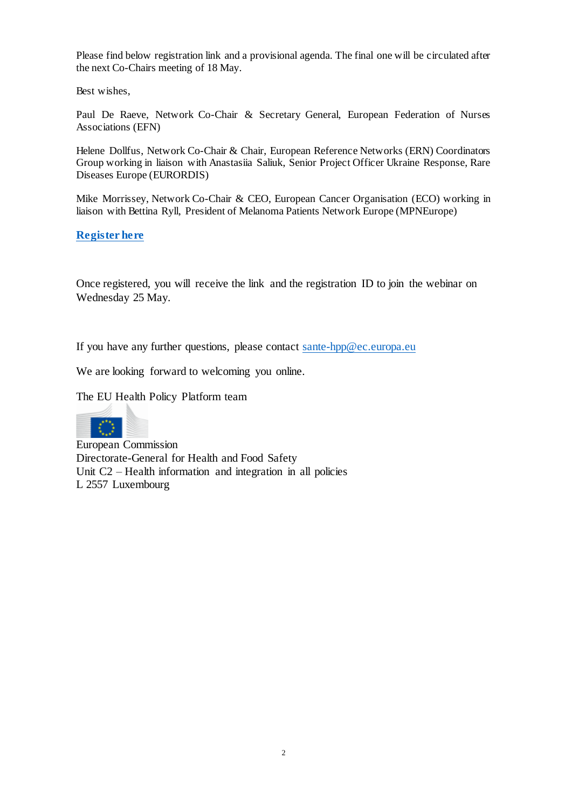Please find below registration link and a provisional agenda. The final one will be circulated after the next Co-Chairs meeting of 18 May.

Best wishes,

Paul De Raeve, Network Co-Chair & Secretary General, European Federation of Nurses Associations (EFN)

Helene Dollfus, Network Co-Chair & Chair, European Reference Networks (ERN) Coordinators Group working in liaison with Anastasiia Saliuk, Senior Project Officer Ukraine Response, Rare Diseases Europe (EURORDIS)

Mike Morrissey, Network Co-Chair & CEO, European Cancer Organisation (ECO) working in liaison with Bettina Ryll, President of Melanoma Patients Network Europe (MPNEurope)

**[Register here](https://ecconf.webex.com/ecconf/onstage/g.php?MTID=ee1c1ad73ae3988a11daad138527ef5c3)**

Once registered, you will receive the link and the registration ID to join the webinar on Wednesday 25 May.

If you have any further questions, please contact [sante-hpp@ec.europa.eu](file:///C:/Users/IRCT/AppData/Local/Microsoft/Windows/INetCache/Content.Outlook/7VF20326/sante-hpp@ec.europa.eu)

We are looking forward to welcoming you online.

The EU Health Policy Platform team



European Commission Directorate-General for Health and Food Safety Unit C2 – Health information and integration in all policies L 2557 Luxembourg